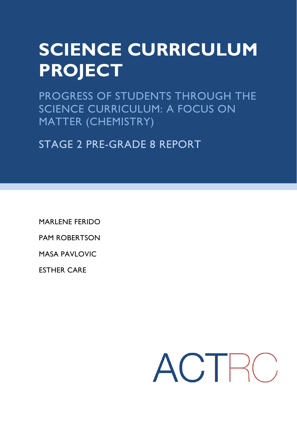# **SCIENCE CURRICULUM PROJECT**

PROGRESS OF STUDENTS THROUGH THE SCIENCE CURRICULUM: A FOCUS ON MATTER (CHEMISTRY)

STAGE 2 PRE-GRADE 8 REPORT

MARLENE FERIDO

PAM ROBERTSON

MASA PAVLOVIC

ESTHER CARE

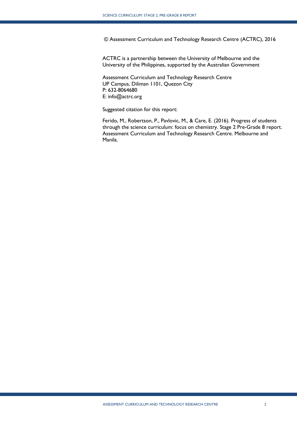© Assessment Curriculum and Technology Research Centre (ACTRC), 2016

ACTRC is a partnership between the University of Melbourne and the University of the Philippines, supported by the Australian Government

Assessment Curriculum and Technology Research Centre UP Campus, Diliman 1101, Quezon City P: 632-8064680 E: info@actrc.org

Suggested citation for this report:

Ferido, M., Robertson, P., Pavlovic, M., & Care, E. (2016). Progress of students through the science curriculum: focus on chemistry. Stage 2 Pre-Grade 8 report. Assessment Curriculum and Technology Research Centre. Melbourne and Manila.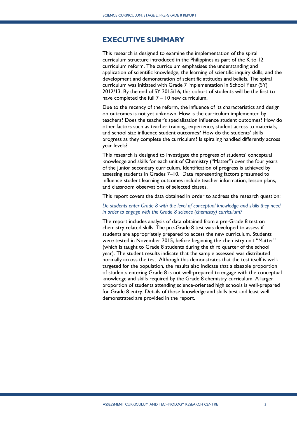## <span id="page-2-0"></span>**EXECUTIVE SUMMARY**

This research is designed to examine the implementation of the spiral curriculum structure introduced in the Philippines as part of the K to 12 curriculum reform. The curriculum emphasises the understanding and application of scientific knowledge, the learning of scientific inquiry skills, and the development and demonstration of scientific attitudes and beliefs. The spiral curriculum was initiated with Grade 7 implementation in School Year (SY) 2012/13. By the end of SY 2015/16, this cohort of students will be the first to have completed the full 7 – 10 new curriculum.

Due to the recency of the reform, the influence of its characteristics and design on outcomes is not yet unknown. How is the curriculum implemented by teachers? Does the teacher's specialisation influence student outcomes? How do other factors such as teacher training, experience, student access to materials, and school size influence student outcomes? How do the students' skills progress as they complete the curriculum? Is spiraling handled differently across year levels?

This research is designed to investigate the progress of students' conceptual knowledge and skills for each unit of Chemistry ("Matter") over the four years of the junior secondary curriculum. Identification of progress is achieved by assessing students in Grades 7–10. Data representing factors presumed to influence student learning outcomes include teacher information, lesson plans, and classroom observations of selected classes.

This report covers the data obtained in order to address the research question:

#### *Do students enter Grade 8 with the level of conceptual knowledge and skills they need in order to engage with the Grade 8 science (chemistry) curriculum?*

The report includes analysis of data obtained from a pre-Grade 8 test on chemistry related skills. The pre-Grade 8 test was developed to assess if students are appropriately prepared to access the new curriculum. Students were tested in November 2015, before beginning the chemistry unit "Matter" (which is taught to Grade 8 students during the third quarter of the school year). The student results indicate that the sample assessed was distributed normally across the test. Although this demonstrates that the test itself is welltargeted for the population, the results also indicate that a sizeable proportion of students entering Grade 8 is not well-prepared to engage with the conceptual knowledge and skills required by the Grade 8 chemistry curriculum. A larger proportion of students attending science-oriented high schools is well-prepared for Grade 8 entry. Details of those knowledge and skills best and least well demonstrated are provided in the report.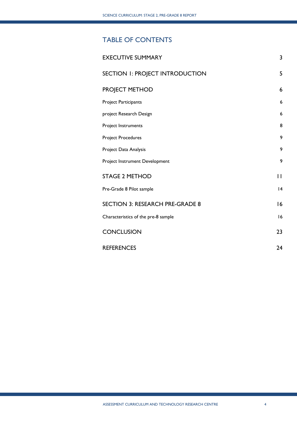# TABLE OF CONTENTS

| <b>EXECUTIVE SUMMARY</b>               | 3            |
|----------------------------------------|--------------|
| SECTION 1: PROJECT INTRODUCTION        | 5            |
| PROJECT METHOD                         | 6            |
| Project Participants                   | 6            |
| project Research Design                | 6            |
| Project Instruments                    | 8            |
| <b>Project Procedures</b>              | 9            |
| Project Data Analysis                  | 9            |
| Project Instrument Development         | 9            |
| <b>STAGE 2 METHOD</b>                  | $\mathbf{L}$ |
| Pre-Grade 8 Pilot sample               | 4            |
| <b>SECTION 3: RESEARCH PRE-GRADE 8</b> | 16           |
| Characteristics of the pre-8 sample    | 16           |
| <b>CONCLUSION</b>                      | 23           |
| <b>REFERENCES</b>                      | 24           |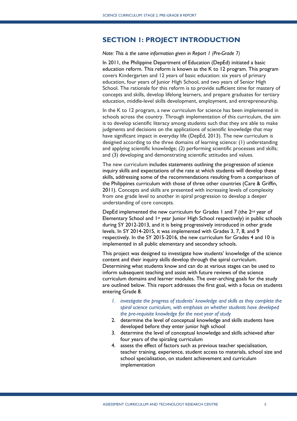# <span id="page-4-0"></span>**SECTION 1: PROJECT INTRODUCTION**

*Note: This is the same information given in Report 1 (Pre-Grade 7)*

In 2011, the Philippine Department of Education (DepEd) initiated a basic education reform. This reform is known as the K to 12 program. This program covers Kindergarten and 12 years of basic education: six years of primary education, four years of Junior High School, and two years of Senior High School. The rationale for this reform is to provide sufficient time for mastery of concepts and skills, develop lifelong learners, and prepare graduates for tertiary education, middle-level skills development, employment, and entrepreneurship.

In the K to 12 program, a new curriculum for science has been implemented in schools across the country. Through implementation of this curriculum, the aim is to develop scientific literacy among students such that they are able to make judgments and decisions on the applications of scientific knowledge that may have significant impact in everyday life (DepEd, 2013). The new curriculum is designed according to the three domains of learning science: (1) understanding and applying scientific knowledge; (2) performing scientific processes and skills; and (3) developing and demonstrating scientific attitudes and values.

The new curriculum includes statements outlining the progression of science inquiry skills and expectations of the rate at which students will develop these skills, addressing some of the recommendations resulting from a comparison of the Philippines curriculum with those of three other countries (Care & Griffin, 2011). Concepts and skills are presented with increasing levels of complexity from one grade level to another in spiral progression to develop a deeper understanding of core concepts.

DepEd implemented the new curriculum for Grades 1 and 7 (the 2<sup>nd</sup> year of Elementary School and 1st year Junior High School respectively) in public schools during SY 2012-2013, and it is being progressively introduced in other grade levels. In SY 2014-2015, it was implemented with Grades 3, 7, 8, and 9 respectively. In the SY 2015-2016, the new curriculum for Grades 4 and 10 is implemented in all public elementary and secondary schools.

This project was designed to investigate how students' knowledge of the science content and their inquiry skills develop through the spiral curriculum. Determining what students know and can do at various stages can be used to inform subsequent teaching and assist with future reviews of the science curriculum domains and learner modules. The over-arching goals for the study are outlined below. This report addresses the first goal, with a focus on students entering Grade 8.

- *1. investigate the progress of students' knowledge and skills as they complete the spiral science curriculum, with emphasis on whether students have developed the pre-requisite knowledge for the next year of study*
- 2. determine the level of conceptual knowledge and skills students have developed before they enter junior high school
- 3. determine the level of conceptual knowledge and skills achieved after four years of the spiraling curriculum
- 4. assess the effect of factors such as previous teacher specialisation, teacher training, experience, student access to materials, school size and school specialisation, on student achievement and curriculum implementation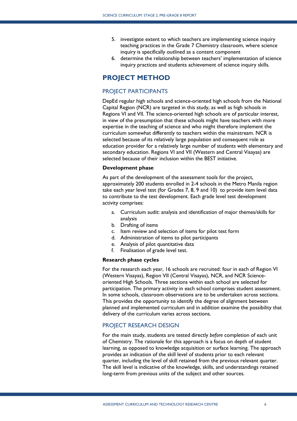- 5. investigate extent to which teachers are implementing science inquiry teaching practices in the Grade 7 Chemistry classroom, where science inquiry is specifically outlined as a content component
- 6. determine the relationship between teachers' implementation of science inquiry practices and students achievement of science inquiry skills.

# <span id="page-5-0"></span>**PROJECT METHOD**

#### <span id="page-5-1"></span>PROJECT PARTICIPANTS

DepEd regular high schools and science-oriented high schools from the National Capital Region (NCR) are targeted in this study, as well as high schools in Regions VI and VII. The science-oriented high schools are of particular interest, in view of the presumption that these schools might have teachers with more expertise in the teaching of science and who might therefore implement the curriculum somewhat differently to teachers within the mainstream. NCR is selected because of its relatively large population and consequent role as education provider for a relatively large number of students with elementary and secondary education. Regions VI and VII (Western and Central Visayas) are selected because of their inclusion within the BEST initiative.

#### **Development phase**

As part of the development of the assessment tools for the project, approximately 200 students enrolled in 2-4 schools in the Metro Manila region take each year level test (for Grades 7, 8, 9 and 10) to provide item level data to contribute to the test development. Each grade level test development activity comprises:

- a. Curriculum audit: analysis and identification of major themes/skills for analysis
- b. Drafting of items
- c. Item review and selection of items for pilot test form
- d. Administration of items to pilot participants
- e. Analysis of pilot quantitative data
- f. Finalisation of grade level test.

#### **Research phase cycles**

For the research each year, 16 schools are recruited: four in each of Region VI (Western Visayas), Region VII (Central Visayas), NCR, and NCR Scienceoriented High Schools. Three sections within each school are selected for participation. The primary activity in each school comprises student assessment. In some schools, classroom observations are to be undertaken across sections. This provides the opportunity to identify the degree of alignment between planned and implemented curriculum and in addition examine the possibility that delivery of the curriculum varies across sections.

#### <span id="page-5-2"></span>PROJECT RESEARCH DESIGN

For the main study, students are tested directly *before* completion of each unit of Chemistry. The rationale for this approach is a focus on depth of student learning, as opposed to knowledge acquisition or surface learning. The approach provides an indication of the skill level of students prior to each relevant quarter, including the level of skill retained from the previous relevant quarter. The skill level is indicative of the knowledge, skills, and understandings retained long-term from previous units of the subject and other sources.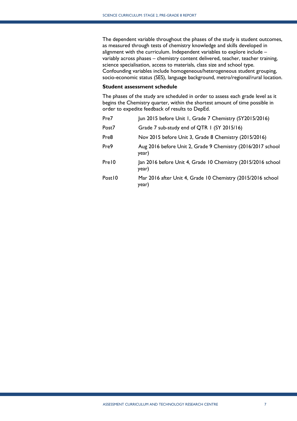The dependent variable throughout the phases of the study is student outcomes, as measured through tests of chemistry knowledge and skills developed in alignment with the curriculum. Independent variables to explore include – variably across phases – chemistry content delivered, teacher, teacher training, science specialisation, access to materials, class size and school type. Confounding variables include homogeneous/heterogeneous student grouping, socio-economic status (SES), language background, metro/regional/rural location.

#### **Student assessment schedule**

The phases of the study are scheduled in order to assess each grade level as it begins the Chemistry quarter, within the shortest amount of time possible in order to expedite feedback of results to DepEd.

| Pre7   | Jun 2015 before Unit 1, Grade 7 Chemistry (SY2015/2016)               |
|--------|-----------------------------------------------------------------------|
| Post7  | Grade 7 sub-study end of QTR 1 (SY 2015/16)                           |
| Pre8   | Nov 2015 before Unit 3, Grade 8 Chemistry (2015/2016)                 |
| Pre9   | Aug 2016 before Unit 2, Grade 9 Chemistry (2016/2017 school<br>year)  |
| Pre10  | Jan 2016 before Unit 4, Grade 10 Chemistry (2015/2016 school<br>year) |
| Post10 | Mar 2016 after Unit 4, Grade 10 Chemistry (2015/2016 school<br>year)  |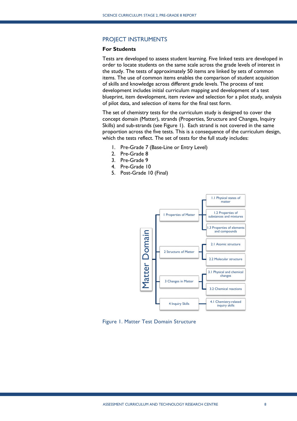#### <span id="page-7-0"></span>PROJECT INSTRUMENTS

#### **For Students**

Tests are developed to assess student learning. Five linked tests are developed in order to locate students on the same scale across the grade levels of interest in the study. The tests of approximately 50 items are linked by sets of common items. The use of common items enables the comparison of student acquisition of skills and knowledge across different grade levels. The process of test development includes initial curriculum mapping and development of a test blueprint, item development, item review and selection for a pilot study, analysis of pilot data, and selection of items for the final test form.

The set of chemistry tests for the curriculum study is designed to cover the concept domain (Matter), strands (Properties, Structure and Changes, Inquiry Skills) and sub-strands (see Figure 1). Each strand is not covered in the same proportion across the five tests. This is a consequence of the curriculum design, which the tests reflect. The set of tests for the full study includes:

- 1. Pre-Grade 7 (Base-Line or Entry Level)
- 2. Pre-Grade 8
- 3. Pre-Grade 9
- 4. Pre-Grade 10
- 5. Post-Grade 10 (Final)

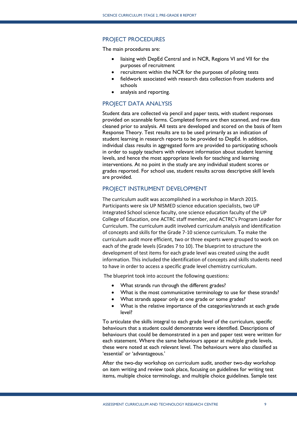#### <span id="page-8-0"></span>PROJECT PROCEDURES

The main procedures are:

- liaising with DepEd Central and in NCR, Regions VI and VII for the purposes of recruitment
- recruitment within the NCR for the purposes of piloting tests
- fieldwork associated with research data collection from students and schools
- analysis and reporting.

#### <span id="page-8-1"></span>PROJECT DATA ANALYSIS

Student data are collected via pencil and paper tests, with student responses provided on scannable forms. Completed forms are then scanned, and raw data cleaned prior to analysis. All tests are developed and scored on the basis of Item Response Theory. Test results are to be used primarily as an indication of student learning in research reports to be provided to DepEd. In addition, individual class results in aggregated form are provided to participating schools in order to supply teachers with relevant information about student learning levels, and hence the most appropriate levels for teaching and learning interventions. At no point in the study are any individual student scores or grades reported. For school use, student results across descriptive skill levels are provided.

#### <span id="page-8-2"></span>PROJECT INSTRUMENT DEVELOPMENT

The curriculum audit was accomplished in a workshop in March 2015. Participants were six UP NISMED science education specialists, two UP Integrated School science faculty, one science education faculty of the UP College of Education, one ACTRC staff member, and ACTRC's Program Leader for Curriculum. The curriculum audit involved curriculum analysis and identification of concepts and skills for the Grade 7-10 science curriculum. To make the curriculum audit more efficient, two or three experts were grouped to work on each of the grade levels (Grades 7 to 10). The blueprint to structure the development of test items for each grade level was created using the audit information. This included the identification of concepts and skills students need to have in order to access a specific grade level chemistry curriculum.

The blueprint took into account the following questions:

- What strands run through the different grades?
- What is the most communicative terminology to use for these strands?
- What strands appear only at one grade or some grades?
- What is the relative importance of the categories/strands at each grade level?

To articulate the skills integral to each grade level of the curriculum, specific behaviours that a student could demonstrate were identified. Descriptions of behaviours that could be demonstrated in a pen and paper test were written for each statement. Where the same behaviours appear at multiple grade levels, these were noted at each relevant level. The behaviours were also classified as 'essential' or 'advantageous.'

After the two-day workshop on curriculum audit, another two-day workshop on item writing and review took place, focusing on guidelines for writing test items, multiple choice terminology, and multiple choice guidelines. Sample test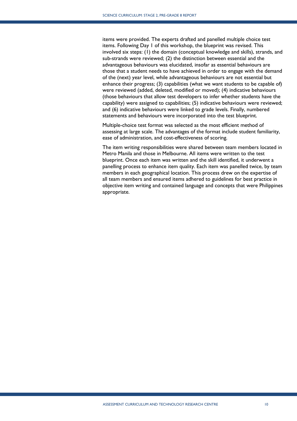items were provided. The experts drafted and panelled multiple choice test items. Following Day 1 of this workshop, the blueprint was revised. This involved six steps: (1) the domain (conceptual knowledge and skills), strands, and sub-strands were reviewed; (2) the distinction between essential and the advantageous behaviours was elucidated, insofar as essential behaviours are those that a student needs to have achieved in order to engage with the demand of the (next) year level, while advantageous behaviours are not essential but enhance their progress; (3) capabilities (what we want students to be capable of) were reviewed (added, deleted, modified or moved); (4) indicative behaviours (those behaviours that allow test developers to infer whether students have the capability) were assigned to capabilities; (5) indicative behaviours were reviewed; and (6) indicative behaviours were linked to grade levels. Finally, numbered statements and behaviours were incorporated into the test blueprint.

Multiple-choice test format was selected as the most efficient method of assessing at large scale. The advantages of the format include student familiarity, ease of administration, and cost-effectiveness of scoring.

The item writing responsibilities were shared between team members located in Metro Manila and those in Melbourne. All items were written to the test blueprint. Once each item was written and the skill identified, it underwent a panelling process to enhance item quality. Each item was panelled twice, by team members in each geographical location. This process drew on the expertise of all team members and ensured items adhered to guidelines for best practice in objective item writing and contained language and concepts that were Philippines appropriate.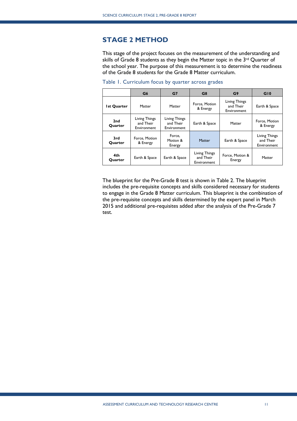# <span id="page-10-0"></span>**STAGE 2 METHOD**

This stage of the project focuses on the measurement of the understanding and skills of Grade 8 students as they begin the Matter topic in the 3<sup>rd</sup> Quarter of the school year. The purpose of this measurement is to determine the readiness of the Grade 8 students for the Grade 8 Matter curriculum.

|                    | G <sub>6</sub>                            | G7                                        | G8                                        | G9                                        | G10                                       |
|--------------------|-------------------------------------------|-------------------------------------------|-------------------------------------------|-------------------------------------------|-------------------------------------------|
| <b>Ist Quarter</b> | Matter                                    | Matter                                    | Force, Motion<br>& Energy                 | Living Things<br>and Their<br>Environment | Earth & Space                             |
| 2nd<br>Quarter     | Living Things<br>and Their<br>Environment | Living Things<br>and Their<br>Environment | Earth & Space                             | Matter                                    | Force, Motion<br>& Energy                 |
| 3rd<br>Quarter     | Force, Motion<br>& Energy                 | Force,<br>Motion &<br>Energy              | Matter                                    | Earth & Space                             | Living Things<br>and Their<br>Environment |
| 4th<br>Quarter     | Earth & Space                             | Earth & Space                             | Living Things<br>and Their<br>Environment | Force, Motion &<br>Energy                 | Matter                                    |

Table 1. Curriculum focus by quarter across grades

The blueprint for the Pre-Grade 8 test is shown in Table 2. The blueprint includes the pre-requisite concepts and skills considered necessary for students to engage in the Grade 8 Matter curriculum. This blueprint is the combination of the pre-requisite concepts and skills determined by the expert panel in March 2015 and additional pre-requisites added after the analysis of the Pre-Grade 7 test.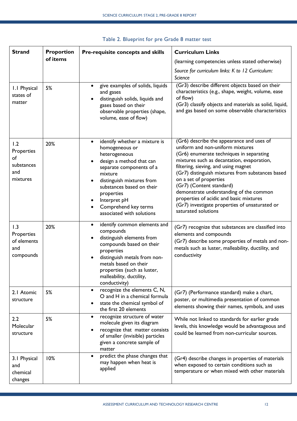| <b>Strand</b><br><b>Proportion</b><br>Pre-requisite concepts and skills |          |                                                                                                                                                                                                                                                                                               | <b>Curriculum Links</b>                                                                                                                                                                                                                                                                                                                                                                                                                                                                  |  |  |
|-------------------------------------------------------------------------|----------|-----------------------------------------------------------------------------------------------------------------------------------------------------------------------------------------------------------------------------------------------------------------------------------------------|------------------------------------------------------------------------------------------------------------------------------------------------------------------------------------------------------------------------------------------------------------------------------------------------------------------------------------------------------------------------------------------------------------------------------------------------------------------------------------------|--|--|
|                                                                         | of items |                                                                                                                                                                                                                                                                                               | (learning competencies unless stated otherwise)                                                                                                                                                                                                                                                                                                                                                                                                                                          |  |  |
|                                                                         |          |                                                                                                                                                                                                                                                                                               | Source for curriculum links: K to 12 Curriculum:<br>Science                                                                                                                                                                                                                                                                                                                                                                                                                              |  |  |
| 1.1 Physical<br>states of<br>matter                                     | 5%       | give examples of solids, liquids<br>$\bullet$<br>and gases<br>distinguish solids, liquids and<br>gases based on their<br>observable properties (shape,<br>volume, ease of flow)                                                                                                               | (Gr3) describe different objects based on their<br>characteristics (e.g., shape, weight, volume, ease<br>of flow)<br>(Gr3) classify objects and materials as solid, liquid,<br>and gas based on some observable characteristics                                                                                                                                                                                                                                                          |  |  |
| 1.2<br>Properties<br>of<br>substances<br>and<br>mixtures                | 20%      | identify whether a mixture is<br>$\bullet$<br>homogeneous or<br>heterogeneous<br>design a method that can<br>separate components of a<br>mixture<br>distinguish mixtures from<br>substances based on their<br>properties<br>Interpret pH<br>Comprehend key terms<br>associated with solutions | (Gr6) describe the appearance and uses of<br>uniform and non-uniform mixtures<br>(Gr6) enumerate techniques in separating<br>mixtures such as decantation, evaporation,<br>filtering, sieving, and using magnet<br>(Gr7) distinguish mixtures from substances based<br>on a set of properties<br>(Gr7) (Content standard)<br>demonstrate understanding of the common<br>properties of acidic and basic mixtures<br>(Gr7) investigate properties of unsaturated or<br>saturated solutions |  |  |
| 1.3<br>Properties<br>of elements<br>and<br>compounds                    | 20%      | identify common elements and<br>$\bullet$<br>compounds<br>distinguish elements from<br>compounds based on their<br>properties<br>distinguish metals from non-<br>metals based on their<br>properties (such as luster,<br>malleability, ductility,<br>conductivity)                            | (Gr7) recognize that substances are classified into<br>elements and compounds<br>(Gr7) describe some properties of metals and non-<br>metals such as luster, malleability, ductility, and<br>conductivity                                                                                                                                                                                                                                                                                |  |  |
| 2.1 Atomic<br>structure                                                 | 5%       | recognize the elements C, N,<br>$\bullet$<br>O and H in a chemical formula<br>state the chemical symbol of<br>the first 20 elements                                                                                                                                                           | (Gr7) (Performance standard) make a chart,<br>poster, or multimedia presentation of common<br>elements showing their names, symbols, and uses                                                                                                                                                                                                                                                                                                                                            |  |  |
| 2.2<br>Molecular<br>structure                                           | 5%       | recognize structure of water<br>$\bullet$<br>molecule given its diagram<br>recognize that matter consists<br>of smaller (invisible) particles<br>given a concrete sample of<br>matter                                                                                                         | While not linked to standards for earlier grade<br>levels, this knowledge would be advantageous and<br>could be learned from non-curricular sources.                                                                                                                                                                                                                                                                                                                                     |  |  |
| 3.1 Physical<br>and<br>chemical<br>changes                              | 10%      | predict the phase changes that<br>may happen when heat is<br>applied                                                                                                                                                                                                                          | (Gr4) describe changes in properties of materials<br>when exposed to certain conditions such as<br>temperature or when mixed with other materials                                                                                                                                                                                                                                                                                                                                        |  |  |

# Table 2. Blueprint for pre Grade 8 matter test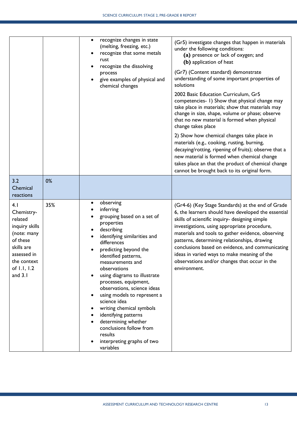|                                                                                                                                                   |     | recognize changes in state<br>$\bullet$<br>(melting, freezing, etc.)<br>recognize that some metals<br>rust<br>recognize the dissolving<br>process<br>give examples of physical and<br>chemical changes                                                                                                                                                                                                                                                                                                                  | (Gr5) investigate changes that happen in materials<br>under the following conditions:<br>(a) presence or lack of oxygen; and<br>(b) application of heat<br>(Gr7) (Content standard) demonstrate<br>understanding of some important properties of<br>solutions<br>2002 Basic Education Curriculum, Gr5<br>competencies- 1) Show that physical change may<br>take place in materials; show that materials may<br>change in size, shape, volume or phase; observe<br>that no new material is formed when physical<br>change takes place<br>2) Show how chemical changes take place in<br>materials (e.g., cooking, rusting, burning,<br>decaying/rotting, ripening of fruits); observe that a<br>new material is formed when chemical change<br>takes place an that the product of chemical change<br>cannot be brought back to its original form. |
|---------------------------------------------------------------------------------------------------------------------------------------------------|-----|-------------------------------------------------------------------------------------------------------------------------------------------------------------------------------------------------------------------------------------------------------------------------------------------------------------------------------------------------------------------------------------------------------------------------------------------------------------------------------------------------------------------------|-------------------------------------------------------------------------------------------------------------------------------------------------------------------------------------------------------------------------------------------------------------------------------------------------------------------------------------------------------------------------------------------------------------------------------------------------------------------------------------------------------------------------------------------------------------------------------------------------------------------------------------------------------------------------------------------------------------------------------------------------------------------------------------------------------------------------------------------------|
| 3.2<br>Chemical<br>reactions                                                                                                                      | 0%  |                                                                                                                                                                                                                                                                                                                                                                                                                                                                                                                         |                                                                                                                                                                                                                                                                                                                                                                                                                                                                                                                                                                                                                                                                                                                                                                                                                                                 |
| 4.1<br>Chemistry-<br>related<br>inquiry skills<br>(note: many<br>of these<br>skills are<br>assessed in<br>the context<br>of 1.1, 1.2<br>and $3.1$ | 35% | observing<br>inferring<br>grouping based on a set of<br>properties<br>describing<br>identifying similarities and<br>differences<br>predicting beyond the<br>identified patterns,<br>measurements and<br>observations<br>using diagrams to illustrate<br>processes, equipment,<br>observations, science ideas<br>using models to represent a<br>science idea<br>writing chemical symbols<br>identifying patterns<br>determining whether<br>conclusions follow from<br>results<br>interpreting graphs of two<br>variables | (Gr4-6) (Key Stage Standards) at the end of Grade<br>6, the learners should have developed the essential<br>skills of scientific inquiry- designing simple<br>investigations, using appropriate procedure,<br>materials and tools to gather evidence, observing<br>patterns, determining relationships, drawing<br>conclusions based on evidence, and communicating<br>ideas in varied ways to make meaning of the<br>observations and/or changes that occur in the<br>environment.                                                                                                                                                                                                                                                                                                                                                             |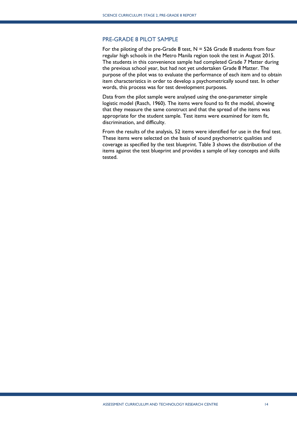#### <span id="page-13-0"></span>PRE-GRADE 8 PILOT SAMPLE

For the piloting of the pre-Grade 8 test,  $N = 526$  Grade 8 students from four regular high schools in the Metro Manila region took the test in August 2015. The students in this convenience sample had completed Grade 7 Matter during the previous school year, but had not yet undertaken Grade 8 Matter. The purpose of the pilot was to evaluate the performance of each item and to obtain item characteristics in order to develop a psychometrically sound test. In other words, this process was for test development purposes.

Data from the pilot sample were analysed using the one-parameter simple logistic model (Rasch, 1960). The items were found to fit the model, showing that they measure the same construct and that the spread of the items was appropriate for the student sample. Test items were examined for item fit, discrimination, and difficulty.

From the results of the analysis, 52 items were identified for use in the final test. These items were selected on the basis of sound psychometric qualities and coverage as specified by the test blueprint. Table 3 shows the distribution of the items against the test blueprint and provides a sample of key concepts and skills tested.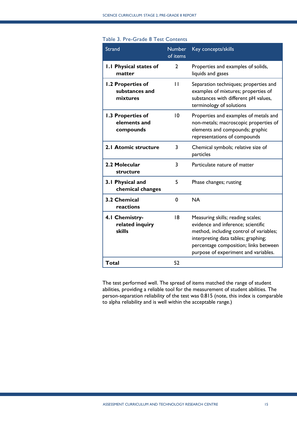| Table 3. Pre-Grade 8 Test Contents              |                           |                                                                                                                                                                                                    |
|-------------------------------------------------|---------------------------|----------------------------------------------------------------------------------------------------------------------------------------------------------------------------------------------------|
| <b>Strand</b>                                   | <b>Number</b><br>of items | Key concepts/skills                                                                                                                                                                                |
| <b>I.I Physical states of</b><br>matter         | $\overline{2}$            | Properties and examples of solids,<br>liquids and gases                                                                                                                                            |
| 1.2 Properties of<br>substances and<br>mixtures | $\mathbf{H}$              | Separation techniques; properties and<br>examples of mixtures; properties of<br>substances with different pH values,<br>terminology of solutions                                                   |
| 1.3 Properties of<br>elements and<br>compounds  | 10                        | Properties and examples of metals and<br>non-metals; macroscopic properties of<br>elements and compounds; graphic<br>representations of compounds                                                  |
| 2.1 Atomic structure                            | 3                         | Chemical symbols; relative size of<br>particles                                                                                                                                                    |
| 2.2 Molecular<br>structure                      | 3                         | Particulate nature of matter                                                                                                                                                                       |
| 3.1 Physical and<br>chemical changes            | 5                         | Phase changes; rusting                                                                                                                                                                             |
| 3.2 Chemical<br>reactions                       | 0                         | <b>NA</b>                                                                                                                                                                                          |
| 4.1 Chemistry-<br>related inquiry<br>skills     | 8                         | Measuring skills; reading scales;<br>evidence and inference; scientific<br>method, including control of variables;<br>interpreting data tables; graphing;<br>percentage composition; links between |

The test performed well. The spread of items matched the range of student abilities, providing a reliable tool for the measurement of student abilities. The person-separation reliability of the test was 0.815 (note, this index is comparable to alpha reliability and is well within the acceptable range.)

purpose of experiment and variables.

**Total** 52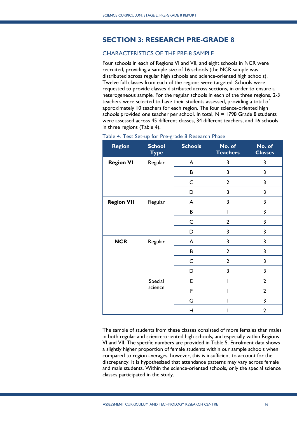# <span id="page-15-0"></span>**SECTION 3: RESEARCH PRE-GRADE 8**

## <span id="page-15-1"></span>CHARACTERISTICS OF THE PRE-8 SAMPLE

Four schools in each of Regions VI and VII, and eight schools in NCR were recruited, providing a sample size of 16 schools (the NCR sample was distributed across regular high schools and science-oriented high schools). Twelve full classes from each of the regions were targeted. Schools were requested to provide classes distributed across sections, in order to ensure a heterogeneous sample. For the regular schools in each of the three regions, 2-3 teachers were selected to have their students assessed, providing a total of approximately 10 teachers for each region. The four science-oriented high schools provided one teacher per school. In total,  $N = 1798$  Grade 8 students were assessed across 45 different classes, 34 different teachers, and 16 schools in three regions (Table 4).

| <b>Region</b>     | <b>School</b><br><b>Type</b> | <b>Schools</b> | No. of<br><b>Teachers</b> | No. of<br><b>Classes</b> |
|-------------------|------------------------------|----------------|---------------------------|--------------------------|
| <b>Region VI</b>  | Regular                      | A              | 3                         | 3                        |
|                   |                              | B              | 3                         | 3                        |
|                   |                              | C              | $\overline{2}$            | 3                        |
|                   |                              | D              | 3                         | 3                        |
| <b>Region VII</b> | Regular                      | A              | 3                         | 3                        |
|                   |                              | B              |                           | 3                        |
|                   |                              | $\mathsf C$    | $\overline{2}$            | 3                        |
|                   |                              | D              | 3                         | 3                        |
| <b>NCR</b>        | Regular                      | A              | 3                         | 3                        |
|                   |                              | B              | $\overline{2}$            | 3                        |
|                   |                              | C              | $\overline{2}$            | 3                        |
|                   |                              | D              | 3                         | 3                        |
|                   | Special                      | E              |                           | $\overline{2}$           |
|                   | science                      | F              |                           | $\overline{2}$           |
|                   |                              | G              |                           | 3                        |
|                   |                              | Н              |                           | $\overline{2}$           |

#### Table 4. Test Set-up for Pre-grade 8 Research Phase

The sample of students from these classes consisted of more females than males in both regular and science-oriented high schools, and especially within Regions VI and VII. The specific numbers are provided in Table 5. Enrolment data shows a slightly higher proportion of female students within our sample schools when compared to region averages, however, this is insufficient to account for the discrepancy. It is hypothesized that attendance patterns may vary across female and male students. Within the science-oriented schools, only the special science classes participated in the study.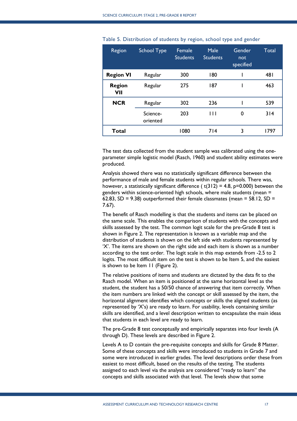| Region               | <b>School Type</b>   | Female<br><b>Students</b> | Male<br><b>Students</b> | Gender<br>not<br>specified | Total |
|----------------------|----------------------|---------------------------|-------------------------|----------------------------|-------|
| <b>Region VI</b>     | Regular              | 300                       | 180                     |                            | 481   |
| <b>Region</b><br>VII | Regular              | 275                       | 187                     |                            | 463   |
| <b>NCR</b>           | Regular              | 302                       | 236                     |                            | 539   |
|                      | Science-<br>oriented | 203                       | $\overline{111}$        | 0                          | 314   |
| Total                |                      | 1080                      | 714                     | 3                          | 1797  |

Table 5. Distribution of students by region, school type and gender

The test data collected from the student sample was calibrated using the oneparameter simple logistic model (Rasch, 1960) and student ability estimates were produced.

Analysis showed there was no statistically significant difference between the performance of male and female students within regular schools. There was, however, a statistically significant difference ( $t(312) = 4.8$ ,  $p=0.000$ ) between the genders within science-oriented high schools, where male students (mean = 62.83, SD = 9.38) outperformed their female classmates (mean =  $58.12$ , SD = 7.67).

The benefit of Rasch modelling is that the students and items can be placed on the same scale. This enables the comparison of students with the concepts and skills assessed by the test. The common logit scale for the pre-Grade 8 test is shown in Figure 2. The representation is known as a variable map and the distribution of students is shown on the left side with students represented by 'X'. The items are shown on the right side and each item is shown as a number according to the test order. The logit scale in this map extends from -2.5 to 2 logits. The most difficult item on the test is shown to be Item 5, and the easiest is shown to be Item 11 (Figure 2).

The relative positions of items and students are dictated by the data fit to the Rasch model. When an item is positioned at the same horizontal level as the student, the student has a 50/50 chance of answering that item correctly. When the item numbers are linked with the concept or skill assessed by the item, the horizontal alignment identifies which concepts or skills the aligned students (as represented by 'X's) are ready to learn. For usability, levels containing similar skills are identified, and a level description written to encapsulate the main ideas that students in each level are ready to learn.

The pre-Grade 8 test conceptually and empirically separates into four levels (A through D). These levels are described in Figure 2.

Levels A to D contain the pre-requisite concepts and skills for Grade 8 Matter. Some of these concepts and skills were introduced to students in Grade 7 and some were introduced in earlier grades. The level descriptions order these from easiest to most difficult, based on the results of the testing. The students assigned to each level via the analysis are considered "ready to learn" the concepts and skills associated with that level. The levels show that some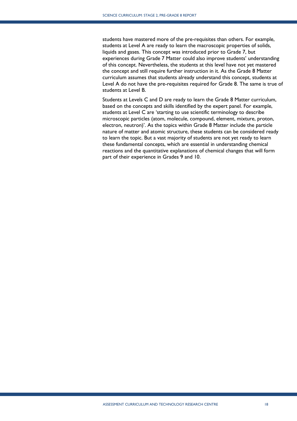students have mastered more of the pre-requisites than others. For example, students at Level A are ready to learn the macroscopic properties of solids, liquids and gases. This concept was introduced prior to Grade 7, but experiences during Grade 7 Matter could also improve students' understanding of this concept. Nevertheless, the students at this level have not yet mastered the concept and still require further instruction in it. As the Grade 8 Matter curriculum assumes that students already understand this concept, students at Level A do not have the pre-requisites required for Grade 8. The same is true of students at Level B.

Students at Levels C and D are ready to learn the Grade 8 Matter curriculum, based on the concepts and skills identified by the expert panel. For example, students at Level C are 'starting to use scientific terminology to describe microscopic particles (atom, molecule, compound, element, mixture, proton, electron, neutron)'. As the topics within Grade 8 Matter include the particle nature of matter and atomic structure, these students can be considered ready to learn the topic. But a vast majority of students are not yet ready to learn these fundamental concepts, which are essential in understanding chemical reactions and the quantitative explanations of chemical changes that will form part of their experience in Grades 9 and 10.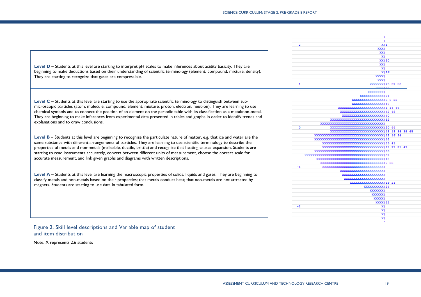| X15<br>2<br>XXXI<br>XXI<br>X <sub>1</sub><br><b>XX130</b><br>XXI<br>Level D – Students at this level are starting to interpret pH scales to make inferences about acidity basicity. They are<br>XI<br>beginning to make deductions based on their understanding of scientific terminology (element, compound, mixture, density).<br>X126<br>They are starting to recognize that gases are compressible.<br>XXXXI<br>XXXI<br>XXXXXXX   29 32 50<br>$\mathbf{1}$<br><b>VVVV128</b><br>XXXXXXXX<br>XXXXXXXXXXXX   21<br>XXXXXXXXXXXXXXXX   3 8 22<br>Level C - Students at this level are starting to use the appropriate scientific terminology to distinguish between sub-<br>microscopic particles (atom, molecule, compound, element, mixture, proton, electron, neutron). They are learning to use<br>XXXXXXXXXXXXXXXXXXXXXXXI1 14 46<br>chemical symbols and to connect the position of an element on the periodic table with its classification as a metal/non-metal.<br>XXXXXXXXXXXXXXXXXXXXXX   42 48<br>XXXXXXXXXXXXXXXXXXXXXX   40<br>They are beginning to make inferences from experimental data presented in tables and graphs in order to identify trends and<br><b>XXXXXXXXXXXXXXXXXXXXXXXXXXXXXXXX</b><br>explanations and to draw conclusions.<br>XXXXXXXXXXXXXXXXXXXXXXXXXXXXXXXX<br>$^{\circ}$<br>XXXXXXXXXXXXXXXXXXXXXXXXXXXX   20 44<br>XXXXXXXXXXXXXXXXXXXXXXXXXXXXXXXXXXXXII12 16 34<br>Level B - Students at this level are beginning to recognize the particulate nature of matter, e.g. that ice and water are the<br>XXXXXXXXXXXXXXXXXXXXXXXXXXXXXXXXXXXX<br>same substance with different arrangements of particles. They are learning to use scientific terminology to describe the<br>CX139 41<br>properties of metals and non-metals (malleable, ductile, brittle) and recognize that heating causes expansion. Students are<br>27 31 49<br>XXXXXXXXXXXXXXXXXXXXXXXXXXXXXXXXXXXX<br>starting to read instruments accurately, convert between different units of measurement, choose the correct scale for<br>XXXXXXXXXXXXXXXXXXXXXXXXXXXXXXXXXX<br>XI37<br>accurate measurement, and link given graphs and diagrams with written descriptions.<br>xxxxxxxxxxxxxxxxxxxxxxxxxx<br>XXXXXXXXXXXXXXXXXXXXXXXXXXX<br>XXXXXXXXXXXXXXXXXXXXXX<br>Level A – Students at this level are learning the macroscopic properties of solids, liquids and gases. They are beginning to<br>XXXXXXXXXXXXXXXXXXXXX<br>XXXXXXXXXXXXXXXXXXXX<br>classify metals and non-metals based on their properties; that metals conduct heat; that non-metals are not attracted by<br>XXXXXXXXXXXXXXXXX   19 23<br>magnets. Students are starting to use data in tabulated form.<br>XXXXXXXXXX   24<br>XXXXXXX<br>XXXXXXI<br><b>XXXXXI</b><br>XXXX   11<br>$-2$<br>ΧI<br>X <sub>1</sub><br>X <sub>1</sub><br>X <sub>1</sub> |  |
|--------------------------------------------------------------------------------------------------------------------------------------------------------------------------------------------------------------------------------------------------------------------------------------------------------------------------------------------------------------------------------------------------------------------------------------------------------------------------------------------------------------------------------------------------------------------------------------------------------------------------------------------------------------------------------------------------------------------------------------------------------------------------------------------------------------------------------------------------------------------------------------------------------------------------------------------------------------------------------------------------------------------------------------------------------------------------------------------------------------------------------------------------------------------------------------------------------------------------------------------------------------------------------------------------------------------------------------------------------------------------------------------------------------------------------------------------------------------------------------------------------------------------------------------------------------------------------------------------------------------------------------------------------------------------------------------------------------------------------------------------------------------------------------------------------------------------------------------------------------------------------------------------------------------------------------------------------------------------------------------------------------------------------------------------------------------------------------------------------------------------------------------------------------------------------------------------------------------------------------------------------------------------------------------------------------------------------------------------------------------------------------------------------------------------------------------------------------------------------------------------------------------------------------------------------------------------------------------------------------------------------------------------------------------------------------------------------------------------------------------------------------------------------------------------------------------------|--|
|                                                                                                                                                                                                                                                                                                                                                                                                                                                                                                                                                                                                                                                                                                                                                                                                                                                                                                                                                                                                                                                                                                                                                                                                                                                                                                                                                                                                                                                                                                                                                                                                                                                                                                                                                                                                                                                                                                                                                                                                                                                                                                                                                                                                                                                                                                                                                                                                                                                                                                                                                                                                                                                                                                                                                                                                                          |  |
|                                                                                                                                                                                                                                                                                                                                                                                                                                                                                                                                                                                                                                                                                                                                                                                                                                                                                                                                                                                                                                                                                                                                                                                                                                                                                                                                                                                                                                                                                                                                                                                                                                                                                                                                                                                                                                                                                                                                                                                                                                                                                                                                                                                                                                                                                                                                                                                                                                                                                                                                                                                                                                                                                                                                                                                                                          |  |
|                                                                                                                                                                                                                                                                                                                                                                                                                                                                                                                                                                                                                                                                                                                                                                                                                                                                                                                                                                                                                                                                                                                                                                                                                                                                                                                                                                                                                                                                                                                                                                                                                                                                                                                                                                                                                                                                                                                                                                                                                                                                                                                                                                                                                                                                                                                                                                                                                                                                                                                                                                                                                                                                                                                                                                                                                          |  |
|                                                                                                                                                                                                                                                                                                                                                                                                                                                                                                                                                                                                                                                                                                                                                                                                                                                                                                                                                                                                                                                                                                                                                                                                                                                                                                                                                                                                                                                                                                                                                                                                                                                                                                                                                                                                                                                                                                                                                                                                                                                                                                                                                                                                                                                                                                                                                                                                                                                                                                                                                                                                                                                                                                                                                                                                                          |  |
|                                                                                                                                                                                                                                                                                                                                                                                                                                                                                                                                                                                                                                                                                                                                                                                                                                                                                                                                                                                                                                                                                                                                                                                                                                                                                                                                                                                                                                                                                                                                                                                                                                                                                                                                                                                                                                                                                                                                                                                                                                                                                                                                                                                                                                                                                                                                                                                                                                                                                                                                                                                                                                                                                                                                                                                                                          |  |
|                                                                                                                                                                                                                                                                                                                                                                                                                                                                                                                                                                                                                                                                                                                                                                                                                                                                                                                                                                                                                                                                                                                                                                                                                                                                                                                                                                                                                                                                                                                                                                                                                                                                                                                                                                                                                                                                                                                                                                                                                                                                                                                                                                                                                                                                                                                                                                                                                                                                                                                                                                                                                                                                                                                                                                                                                          |  |
|                                                                                                                                                                                                                                                                                                                                                                                                                                                                                                                                                                                                                                                                                                                                                                                                                                                                                                                                                                                                                                                                                                                                                                                                                                                                                                                                                                                                                                                                                                                                                                                                                                                                                                                                                                                                                                                                                                                                                                                                                                                                                                                                                                                                                                                                                                                                                                                                                                                                                                                                                                                                                                                                                                                                                                                                                          |  |
|                                                                                                                                                                                                                                                                                                                                                                                                                                                                                                                                                                                                                                                                                                                                                                                                                                                                                                                                                                                                                                                                                                                                                                                                                                                                                                                                                                                                                                                                                                                                                                                                                                                                                                                                                                                                                                                                                                                                                                                                                                                                                                                                                                                                                                                                                                                                                                                                                                                                                                                                                                                                                                                                                                                                                                                                                          |  |
|                                                                                                                                                                                                                                                                                                                                                                                                                                                                                                                                                                                                                                                                                                                                                                                                                                                                                                                                                                                                                                                                                                                                                                                                                                                                                                                                                                                                                                                                                                                                                                                                                                                                                                                                                                                                                                                                                                                                                                                                                                                                                                                                                                                                                                                                                                                                                                                                                                                                                                                                                                                                                                                                                                                                                                                                                          |  |
|                                                                                                                                                                                                                                                                                                                                                                                                                                                                                                                                                                                                                                                                                                                                                                                                                                                                                                                                                                                                                                                                                                                                                                                                                                                                                                                                                                                                                                                                                                                                                                                                                                                                                                                                                                                                                                                                                                                                                                                                                                                                                                                                                                                                                                                                                                                                                                                                                                                                                                                                                                                                                                                                                                                                                                                                                          |  |
|                                                                                                                                                                                                                                                                                                                                                                                                                                                                                                                                                                                                                                                                                                                                                                                                                                                                                                                                                                                                                                                                                                                                                                                                                                                                                                                                                                                                                                                                                                                                                                                                                                                                                                                                                                                                                                                                                                                                                                                                                                                                                                                                                                                                                                                                                                                                                                                                                                                                                                                                                                                                                                                                                                                                                                                                                          |  |
|                                                                                                                                                                                                                                                                                                                                                                                                                                                                                                                                                                                                                                                                                                                                                                                                                                                                                                                                                                                                                                                                                                                                                                                                                                                                                                                                                                                                                                                                                                                                                                                                                                                                                                                                                                                                                                                                                                                                                                                                                                                                                                                                                                                                                                                                                                                                                                                                                                                                                                                                                                                                                                                                                                                                                                                                                          |  |
|                                                                                                                                                                                                                                                                                                                                                                                                                                                                                                                                                                                                                                                                                                                                                                                                                                                                                                                                                                                                                                                                                                                                                                                                                                                                                                                                                                                                                                                                                                                                                                                                                                                                                                                                                                                                                                                                                                                                                                                                                                                                                                                                                                                                                                                                                                                                                                                                                                                                                                                                                                                                                                                                                                                                                                                                                          |  |
|                                                                                                                                                                                                                                                                                                                                                                                                                                                                                                                                                                                                                                                                                                                                                                                                                                                                                                                                                                                                                                                                                                                                                                                                                                                                                                                                                                                                                                                                                                                                                                                                                                                                                                                                                                                                                                                                                                                                                                                                                                                                                                                                                                                                                                                                                                                                                                                                                                                                                                                                                                                                                                                                                                                                                                                                                          |  |
|                                                                                                                                                                                                                                                                                                                                                                                                                                                                                                                                                                                                                                                                                                                                                                                                                                                                                                                                                                                                                                                                                                                                                                                                                                                                                                                                                                                                                                                                                                                                                                                                                                                                                                                                                                                                                                                                                                                                                                                                                                                                                                                                                                                                                                                                                                                                                                                                                                                                                                                                                                                                                                                                                                                                                                                                                          |  |
|                                                                                                                                                                                                                                                                                                                                                                                                                                                                                                                                                                                                                                                                                                                                                                                                                                                                                                                                                                                                                                                                                                                                                                                                                                                                                                                                                                                                                                                                                                                                                                                                                                                                                                                                                                                                                                                                                                                                                                                                                                                                                                                                                                                                                                                                                                                                                                                                                                                                                                                                                                                                                                                                                                                                                                                                                          |  |
|                                                                                                                                                                                                                                                                                                                                                                                                                                                                                                                                                                                                                                                                                                                                                                                                                                                                                                                                                                                                                                                                                                                                                                                                                                                                                                                                                                                                                                                                                                                                                                                                                                                                                                                                                                                                                                                                                                                                                                                                                                                                                                                                                                                                                                                                                                                                                                                                                                                                                                                                                                                                                                                                                                                                                                                                                          |  |
|                                                                                                                                                                                                                                                                                                                                                                                                                                                                                                                                                                                                                                                                                                                                                                                                                                                                                                                                                                                                                                                                                                                                                                                                                                                                                                                                                                                                                                                                                                                                                                                                                                                                                                                                                                                                                                                                                                                                                                                                                                                                                                                                                                                                                                                                                                                                                                                                                                                                                                                                                                                                                                                                                                                                                                                                                          |  |
|                                                                                                                                                                                                                                                                                                                                                                                                                                                                                                                                                                                                                                                                                                                                                                                                                                                                                                                                                                                                                                                                                                                                                                                                                                                                                                                                                                                                                                                                                                                                                                                                                                                                                                                                                                                                                                                                                                                                                                                                                                                                                                                                                                                                                                                                                                                                                                                                                                                                                                                                                                                                                                                                                                                                                                                                                          |  |
|                                                                                                                                                                                                                                                                                                                                                                                                                                                                                                                                                                                                                                                                                                                                                                                                                                                                                                                                                                                                                                                                                                                                                                                                                                                                                                                                                                                                                                                                                                                                                                                                                                                                                                                                                                                                                                                                                                                                                                                                                                                                                                                                                                                                                                                                                                                                                                                                                                                                                                                                                                                                                                                                                                                                                                                                                          |  |
|                                                                                                                                                                                                                                                                                                                                                                                                                                                                                                                                                                                                                                                                                                                                                                                                                                                                                                                                                                                                                                                                                                                                                                                                                                                                                                                                                                                                                                                                                                                                                                                                                                                                                                                                                                                                                                                                                                                                                                                                                                                                                                                                                                                                                                                                                                                                                                                                                                                                                                                                                                                                                                                                                                                                                                                                                          |  |
|                                                                                                                                                                                                                                                                                                                                                                                                                                                                                                                                                                                                                                                                                                                                                                                                                                                                                                                                                                                                                                                                                                                                                                                                                                                                                                                                                                                                                                                                                                                                                                                                                                                                                                                                                                                                                                                                                                                                                                                                                                                                                                                                                                                                                                                                                                                                                                                                                                                                                                                                                                                                                                                                                                                                                                                                                          |  |
|                                                                                                                                                                                                                                                                                                                                                                                                                                                                                                                                                                                                                                                                                                                                                                                                                                                                                                                                                                                                                                                                                                                                                                                                                                                                                                                                                                                                                                                                                                                                                                                                                                                                                                                                                                                                                                                                                                                                                                                                                                                                                                                                                                                                                                                                                                                                                                                                                                                                                                                                                                                                                                                                                                                                                                                                                          |  |
|                                                                                                                                                                                                                                                                                                                                                                                                                                                                                                                                                                                                                                                                                                                                                                                                                                                                                                                                                                                                                                                                                                                                                                                                                                                                                                                                                                                                                                                                                                                                                                                                                                                                                                                                                                                                                                                                                                                                                                                                                                                                                                                                                                                                                                                                                                                                                                                                                                                                                                                                                                                                                                                                                                                                                                                                                          |  |
|                                                                                                                                                                                                                                                                                                                                                                                                                                                                                                                                                                                                                                                                                                                                                                                                                                                                                                                                                                                                                                                                                                                                                                                                                                                                                                                                                                                                                                                                                                                                                                                                                                                                                                                                                                                                                                                                                                                                                                                                                                                                                                                                                                                                                                                                                                                                                                                                                                                                                                                                                                                                                                                                                                                                                                                                                          |  |
|                                                                                                                                                                                                                                                                                                                                                                                                                                                                                                                                                                                                                                                                                                                                                                                                                                                                                                                                                                                                                                                                                                                                                                                                                                                                                                                                                                                                                                                                                                                                                                                                                                                                                                                                                                                                                                                                                                                                                                                                                                                                                                                                                                                                                                                                                                                                                                                                                                                                                                                                                                                                                                                                                                                                                                                                                          |  |
|                                                                                                                                                                                                                                                                                                                                                                                                                                                                                                                                                                                                                                                                                                                                                                                                                                                                                                                                                                                                                                                                                                                                                                                                                                                                                                                                                                                                                                                                                                                                                                                                                                                                                                                                                                                                                                                                                                                                                                                                                                                                                                                                                                                                                                                                                                                                                                                                                                                                                                                                                                                                                                                                                                                                                                                                                          |  |
|                                                                                                                                                                                                                                                                                                                                                                                                                                                                                                                                                                                                                                                                                                                                                                                                                                                                                                                                                                                                                                                                                                                                                                                                                                                                                                                                                                                                                                                                                                                                                                                                                                                                                                                                                                                                                                                                                                                                                                                                                                                                                                                                                                                                                                                                                                                                                                                                                                                                                                                                                                                                                                                                                                                                                                                                                          |  |
|                                                                                                                                                                                                                                                                                                                                                                                                                                                                                                                                                                                                                                                                                                                                                                                                                                                                                                                                                                                                                                                                                                                                                                                                                                                                                                                                                                                                                                                                                                                                                                                                                                                                                                                                                                                                                                                                                                                                                                                                                                                                                                                                                                                                                                                                                                                                                                                                                                                                                                                                                                                                                                                                                                                                                                                                                          |  |
|                                                                                                                                                                                                                                                                                                                                                                                                                                                                                                                                                                                                                                                                                                                                                                                                                                                                                                                                                                                                                                                                                                                                                                                                                                                                                                                                                                                                                                                                                                                                                                                                                                                                                                                                                                                                                                                                                                                                                                                                                                                                                                                                                                                                                                                                                                                                                                                                                                                                                                                                                                                                                                                                                                                                                                                                                          |  |
|                                                                                                                                                                                                                                                                                                                                                                                                                                                                                                                                                                                                                                                                                                                                                                                                                                                                                                                                                                                                                                                                                                                                                                                                                                                                                                                                                                                                                                                                                                                                                                                                                                                                                                                                                                                                                                                                                                                                                                                                                                                                                                                                                                                                                                                                                                                                                                                                                                                                                                                                                                                                                                                                                                                                                                                                                          |  |
|                                                                                                                                                                                                                                                                                                                                                                                                                                                                                                                                                                                                                                                                                                                                                                                                                                                                                                                                                                                                                                                                                                                                                                                                                                                                                                                                                                                                                                                                                                                                                                                                                                                                                                                                                                                                                                                                                                                                                                                                                                                                                                                                                                                                                                                                                                                                                                                                                                                                                                                                                                                                                                                                                                                                                                                                                          |  |
|                                                                                                                                                                                                                                                                                                                                                                                                                                                                                                                                                                                                                                                                                                                                                                                                                                                                                                                                                                                                                                                                                                                                                                                                                                                                                                                                                                                                                                                                                                                                                                                                                                                                                                                                                                                                                                                                                                                                                                                                                                                                                                                                                                                                                                                                                                                                                                                                                                                                                                                                                                                                                                                                                                                                                                                                                          |  |
|                                                                                                                                                                                                                                                                                                                                                                                                                                                                                                                                                                                                                                                                                                                                                                                                                                                                                                                                                                                                                                                                                                                                                                                                                                                                                                                                                                                                                                                                                                                                                                                                                                                                                                                                                                                                                                                                                                                                                                                                                                                                                                                                                                                                                                                                                                                                                                                                                                                                                                                                                                                                                                                                                                                                                                                                                          |  |
|                                                                                                                                                                                                                                                                                                                                                                                                                                                                                                                                                                                                                                                                                                                                                                                                                                                                                                                                                                                                                                                                                                                                                                                                                                                                                                                                                                                                                                                                                                                                                                                                                                                                                                                                                                                                                                                                                                                                                                                                                                                                                                                                                                                                                                                                                                                                                                                                                                                                                                                                                                                                                                                                                                                                                                                                                          |  |
|                                                                                                                                                                                                                                                                                                                                                                                                                                                                                                                                                                                                                                                                                                                                                                                                                                                                                                                                                                                                                                                                                                                                                                                                                                                                                                                                                                                                                                                                                                                                                                                                                                                                                                                                                                                                                                                                                                                                                                                                                                                                                                                                                                                                                                                                                                                                                                                                                                                                                                                                                                                                                                                                                                                                                                                                                          |  |
|                                                                                                                                                                                                                                                                                                                                                                                                                                                                                                                                                                                                                                                                                                                                                                                                                                                                                                                                                                                                                                                                                                                                                                                                                                                                                                                                                                                                                                                                                                                                                                                                                                                                                                                                                                                                                                                                                                                                                                                                                                                                                                                                                                                                                                                                                                                                                                                                                                                                                                                                                                                                                                                                                                                                                                                                                          |  |
|                                                                                                                                                                                                                                                                                                                                                                                                                                                                                                                                                                                                                                                                                                                                                                                                                                                                                                                                                                                                                                                                                                                                                                                                                                                                                                                                                                                                                                                                                                                                                                                                                                                                                                                                                                                                                                                                                                                                                                                                                                                                                                                                                                                                                                                                                                                                                                                                                                                                                                                                                                                                                                                                                                                                                                                                                          |  |
|                                                                                                                                                                                                                                                                                                                                                                                                                                                                                                                                                                                                                                                                                                                                                                                                                                                                                                                                                                                                                                                                                                                                                                                                                                                                                                                                                                                                                                                                                                                                                                                                                                                                                                                                                                                                                                                                                                                                                                                                                                                                                                                                                                                                                                                                                                                                                                                                                                                                                                                                                                                                                                                                                                                                                                                                                          |  |
|                                                                                                                                                                                                                                                                                                                                                                                                                                                                                                                                                                                                                                                                                                                                                                                                                                                                                                                                                                                                                                                                                                                                                                                                                                                                                                                                                                                                                                                                                                                                                                                                                                                                                                                                                                                                                                                                                                                                                                                                                                                                                                                                                                                                                                                                                                                                                                                                                                                                                                                                                                                                                                                                                                                                                                                                                          |  |
|                                                                                                                                                                                                                                                                                                                                                                                                                                                                                                                                                                                                                                                                                                                                                                                                                                                                                                                                                                                                                                                                                                                                                                                                                                                                                                                                                                                                                                                                                                                                                                                                                                                                                                                                                                                                                                                                                                                                                                                                                                                                                                                                                                                                                                                                                                                                                                                                                                                                                                                                                                                                                                                                                                                                                                                                                          |  |
|                                                                                                                                                                                                                                                                                                                                                                                                                                                                                                                                                                                                                                                                                                                                                                                                                                                                                                                                                                                                                                                                                                                                                                                                                                                                                                                                                                                                                                                                                                                                                                                                                                                                                                                                                                                                                                                                                                                                                                                                                                                                                                                                                                                                                                                                                                                                                                                                                                                                                                                                                                                                                                                                                                                                                                                                                          |  |
|                                                                                                                                                                                                                                                                                                                                                                                                                                                                                                                                                                                                                                                                                                                                                                                                                                                                                                                                                                                                                                                                                                                                                                                                                                                                                                                                                                                                                                                                                                                                                                                                                                                                                                                                                                                                                                                                                                                                                                                                                                                                                                                                                                                                                                                                                                                                                                                                                                                                                                                                                                                                                                                                                                                                                                                                                          |  |
|                                                                                                                                                                                                                                                                                                                                                                                                                                                                                                                                                                                                                                                                                                                                                                                                                                                                                                                                                                                                                                                                                                                                                                                                                                                                                                                                                                                                                                                                                                                                                                                                                                                                                                                                                                                                                                                                                                                                                                                                                                                                                                                                                                                                                                                                                                                                                                                                                                                                                                                                                                                                                                                                                                                                                                                                                          |  |
|                                                                                                                                                                                                                                                                                                                                                                                                                                                                                                                                                                                                                                                                                                                                                                                                                                                                                                                                                                                                                                                                                                                                                                                                                                                                                                                                                                                                                                                                                                                                                                                                                                                                                                                                                                                                                                                                                                                                                                                                                                                                                                                                                                                                                                                                                                                                                                                                                                                                                                                                                                                                                                                                                                                                                                                                                          |  |

Figure 2. Skill level descriptions and Variable map of student and item distribution

Note. X represents 2.6 students

÷,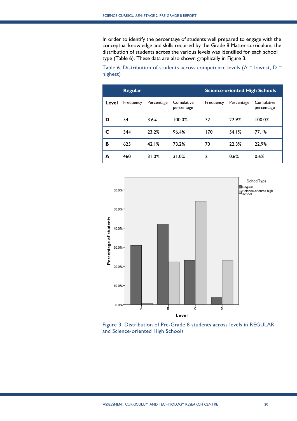In order to identify the percentage of students well prepared to engage with the conceptual knowledge and skills required by the Grade 8 Matter curriculum, the distribution of students across the various levels was identified for each school type (Table 6). These data are also shown graphically in Figure 3.

Table 6. Distribution of students across competence levels ( $A =$  lowest,  $D =$ highest)

|       | Regular   |            |                          | <b>Science-oriented High Schools</b> |            |                          |
|-------|-----------|------------|--------------------------|--------------------------------------|------------|--------------------------|
| Level | Frequency | Percentage | Cumulative<br>percentage | Frequency                            | Percentage | Cumulative<br>percentage |
| D     | 54        | 3.6%       | 100.0%                   | 72                                   | 22.9%      | 100.0%                   |
| C     | 344       | 23.2%      | 96.4%                    | 170                                  | 54.1%      | 77.1%                    |
| в     | 625       | 42.1%      | 73.2%                    | 70                                   | 22.3%      | 22.9%                    |
| A     | 460       | 31.0%      | 31.0%                    | 2                                    | 0.6%       | 0.6%                     |



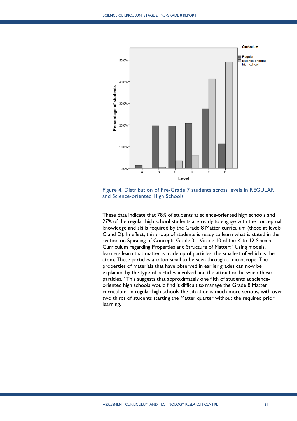

Figure 4. Distribution of Pre-Grade 7 students across levels in REGULAR and Science-oriented High Schools

These data indicate that 78% of students at science-oriented high schools and 27% of the regular high school students are ready to engage with the conceptual knowledge and skills required by the Grade 8 Matter curriculum (those at levels C and D). In effect, this group of students is ready to learn what is stated in the section on Spiraling of Concepts Grade 3 – Grade 10 of the K to 12 Science Curriculum regarding Properties and Structure of Matter: "Using models, learners learn that matter is made up of particles, the smallest of which is the atom. These particles are too small to be seen through a microscope. The properties of materials that have observed in earlier grades can now be explained by the type of particles involved and the attraction between these particles." This suggests that approximately one fifth of students at scienceoriented high schools would find it difficult to manage the Grade 8 Matter curriculum. In regular high schools the situation is much more serious, with over two thirds of students starting the Matter quarter without the required prior learning.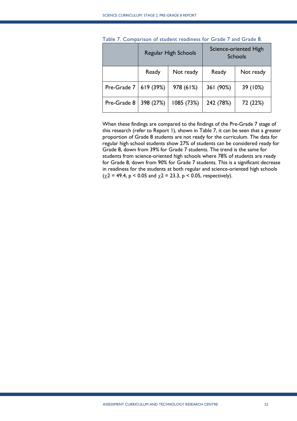|             | <b>Regular High Schools</b> |            |           | Science-oriented High<br><b>Schools</b> |
|-------------|-----------------------------|------------|-----------|-----------------------------------------|
|             | Ready                       | Not ready  | Ready     | Not ready                               |
| Pre-Grade 7 | 619(39%)                    | 978 (61%)  | 361 (90%) | 39 (10%)                                |
| Pre-Grade 8 | 398 (27%)                   | 1085 (73%) | 242 (78%) | 72 (22%)                                |

Table 7. Comparison of student readiness for Grade 7 and Grade 8.

When these findings are compared to the findings of the Pre-Grade 7 stage of this research (refer to Report 1), shown in Table 7, it can be seen that a greater proportion of Grade 8 students are not ready for the curriculum. The data for regular high school students show 27% of students can be considered ready for Grade 8, down from 39% for Grade 7 students. The trend is the same for students from science-oriented high schools where 78% of students are ready for Grade 8, down from 90% for Grade 7 students. This is a significant decrease in readiness for the students at both regular and science-oriented high schools  $(\gamma 2 = 49.4, p < 0.05 \text{ and } \gamma 2 = 23.3, p < 0.05, \text{ respectively}).$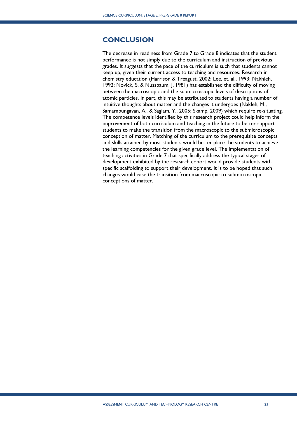# <span id="page-22-0"></span>**CONCLUSION**

The decrease in readiness from Grade 7 to Grade 8 indicates that the student performance is not simply due to the curriculum and instruction of previous grades. It suggests that the pace of the curriculum is such that students cannot keep up, given their current access to teaching and resources. Research in chemistry education (Harrison & Treagust, 2002; Lee, et. al., 1993; Nakhleh, 1992; Novick, S. & Nussbaum, J. 1981) has established the difficulty of moving between the macroscopic and the submicroscopic levels of descriptions of atomic particles. In part, this may be attributed to students having a number of intuitive thoughts about matter and the changes it undergoes (Nakleh, M., Samarapungavan, A., & Saglam, Y., 2005; Skamp, 2009) which require re-situating. The competence levels identified by this research project could help inform the improvement of both curriculum and teaching in the future to better support students to make the transition from the macroscopic to the submicroscopic conception of matter. Matching of the curriculum to the prerequisite concepts and skills attained by most students would better place the students to achieve the learning competencies for the given grade level. The implementation of teaching activities in Grade 7 that specifically address the typical stages of development exhibited by the research cohort would provide students with specific scaffolding to support their development. It is to be hoped that such changes would ease the transition from macroscopic to submicroscopic conceptions of matter.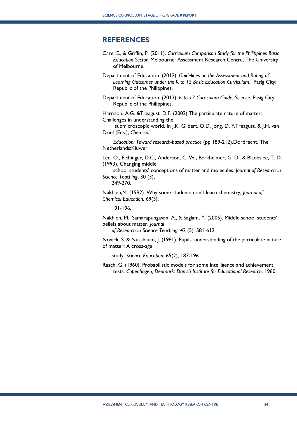#### <span id="page-23-0"></span>**REFERENCES**

- Care, E., & Griffin, P. (2011). *Curriculum Comparison Study for the Philippines Basic Education Sector*. Melbourne: Assessment Research Centre, The University of Melbourne.
- Department of Education. (2012). *Guidelines on the Assessment and Rating of Learning Outcomes under the K to 12 Basic Education Curriculum*. Pasig City: Republic of the Philippines.

Department of Education. (2013). *K to 12 Curriculum Guide: Science*. Pasig City: Republic of the Philippines.

Harrison, A.G. &Treagust, D.F. (2002).The particulate nature of matter: Challenges in understanding the

 submicroscopic world. In J.K. Gilbert, O.D. Jong, D. F.Treagust, & J.H. van Driel (Eds.), *Chemical* 

 *Education: Toward research-based practice* (pp 189-212).Dordrecht, The Netherlands:Kluwer.

Lee, O., Eichinger, D.C., Anderson, C. W., Berkheimer, G. D., & Bladeslee, T. D. (1993). Changing middle

 school students' conceptions of matter and molecules. *Journal of Research in Science Teaching*, 30 (3),

249-270.

Nakhleh,M. (1992). Why some students don't learn chemistry, *Journal of Chemical Education*, 69(3),

191-196.

Nakhleh, M., Samarapungavan, A., & Saglam, Y. (2005). Middle school students' beliefs about matter. *Journal* 

 *of Research in Science Teaching*, 42 (5), 581-612.

Novick, S. & Nussbaum, J. (1981). Pupils' understanding of the particulate nature of matter: A cross-age

study. *Science Education*, 65(2), 187-196

Rasch, G. (1960). Probabilistic models for some intelligence and achievement tests. *Copenhagen, Denmark: Danish Institute for Educational Research*, 1960.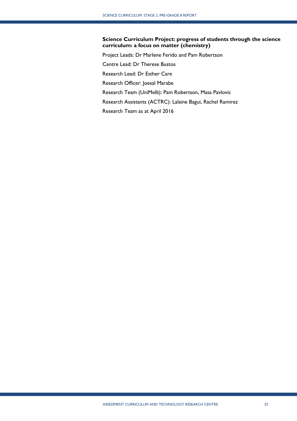## **Science Curriculum Project: progress of students through the science curriculum: a focus on matter (chemistry)**

Project Leads: Dr Marlene Ferido and Pam Robertson Centre Lead: Dr Therese Bustos Research Lead: Dr Esther Care Research Officer: Joesal Marabe Research Team (UniMelb): Pam Robertson, Masa Pavlovic Research Assistants (ACTRC): Lalaine Bagui, Rachel Ramirez Research Team as at April 2016